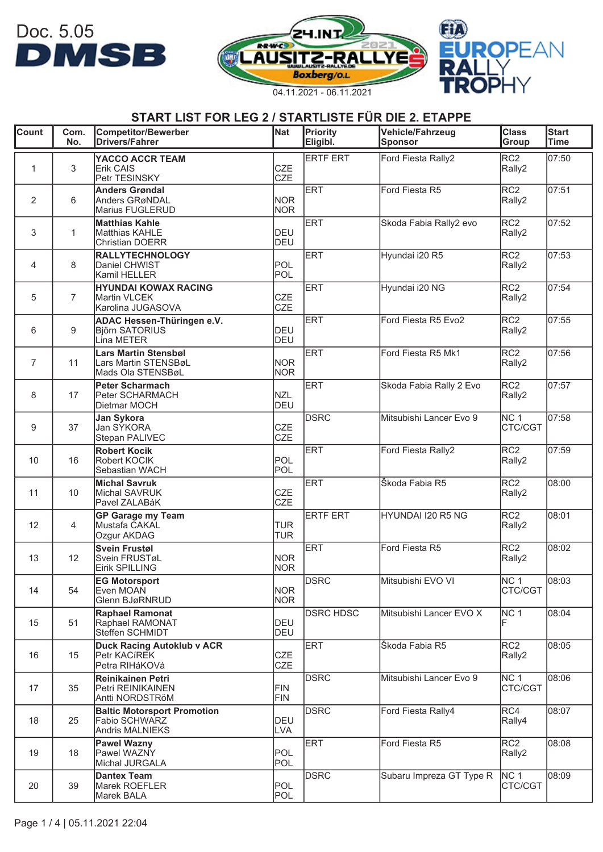| <b>Count</b>   | Com.<br>No.    | <b>Competitor/Bewerber</b><br><b>Drivers/Fahrer</b>                           | <b>Nat</b>               | Priority<br>Eligibl. | Vehicle/Fahrzeug<br>Sponsor | <b>Class</b><br>Group      | Start<br><b>Time</b> |
|----------------|----------------|-------------------------------------------------------------------------------|--------------------------|----------------------|-----------------------------|----------------------------|----------------------|
| $\mathbf{1}$   | 3              | YACCO ACCR TEAM<br><b>Erik CAIS</b><br>Petr TESINSKY                          | <b>CZE</b><br><b>CZE</b> | <b>ERTF ERT</b>      | Ford Fiesta Rally2          | RC <sub>2</sub><br>Rally2  | 07:50                |
| 2              | 6              | <b>Anders Grøndal</b><br><b>Anders GRøNDAL</b><br>Marius FUGLERUD             | <b>NOR</b><br><b>NOR</b> | <b>ERT</b>           | Ford Fiesta R5              | RC <sub>2</sub><br>Rally2  | 07:51                |
| 3              | $\mathbf{1}$   | <b>Matthias Kahle</b><br>Matthias KAHLE<br><b>Christian DOERR</b>             | <b>DEU</b><br><b>DEU</b> | <b>ERT</b>           | Skoda Fabia Rally2 evo      | RC <sub>2</sub><br>Rally2  | 07:52                |
| 4              | 8              | <b>RALLYTECHNOLOGY</b><br>Daniel CHWIST<br>Kamil HELLER                       | <b>POL</b><br>POL        | <b>ERT</b>           | Hyundai i20 R5              | RC <sub>2</sub><br>Rally2  | $\sqrt{07:53}$       |
| 5              | $\overline{7}$ | <b>HYUNDAI KOWAX RACING</b><br><b>Martin VLCEK</b><br>Karolina JUGASOVA       | <b>CZE</b><br><b>CZE</b> | <b>ERT</b>           | Hyundai i20 NG              | RC <sub>2</sub><br>Rally2  | 07:54                |
| 6              | 9              | ADAC Hessen-Thüringen e.V.<br><b>Björn SATORIUS</b><br>Lina METER             | <b>DEU</b><br><b>DEU</b> | <b>ERT</b>           | Ford Fiesta R5 Evo2         | RC <sub>2</sub><br>Rally2  | 07:55                |
| $\overline{7}$ | 11             | Lars Martin Stensbøl<br>Lars Martin STENSBøL<br>Mads Ola STENSBøL             | <b>NOR</b><br><b>NOR</b> | <b>ERT</b>           | Ford Fiesta R5 Mk1          | RC <sub>2</sub><br>Rally2  | 07:56                |
| 8              | 17             | <b>Peter Scharmach</b><br>Peter SCHARMACH<br>Dietmar MOCH                     | <b>NZL</b><br><b>DEU</b> | <b>ERT</b>           | Skoda Fabia Rally 2 Evo     | RC <sub>2</sub><br>Rally2  | 07:57                |
| 9              | 37             | <b>Jan Sykora</b><br>Jan SÝKORA<br>Stepan PALIVEC                             | <b>CZE</b><br><b>CZE</b> | <b>DSRC</b>          | Mitsubishi Lancer Evo 9     | NC <sub>1</sub><br>CTC/CGT | 07:58                |
| 10             | 16             | <b>Robert Kocik</b><br>Robert KOCIK<br>Sebastian WACH                         | POL<br>POL               | <b>ERT</b>           | Ford Fiesta Rally2          | RC <sub>2</sub><br>Rally2  | 07:59                |
| 11             | 10             | <b>Michal Savruk</b><br>Michal SAVRUK<br>Pavel ZALABáK                        | CZE<br><b>CZE</b>        | <b>ERT</b>           | Škoda Fabia R5              | RC <sub>2</sub><br>Rally2  | 08:00                |
| 12             | 4              | <b>GP Garage my Team</b><br>Mustafa CAKAL<br>Ozgur AKDAG                      | <b>TUR</b><br><b>TUR</b> | <b>ERTF ERT</b>      | HYUNDAI I20 R5 NG           | RC <sub>2</sub><br>Rally2  | 08:01                |
| 13             | 12             | <b>Svein Frustøl</b><br>Svein FRUSTøL<br>Eirik SPILLING                       | <b>NOR</b><br><b>NOR</b> | <b>ERT</b>           | Ford Fiesta R5              | RC <sub>2</sub><br>Rally2  | 08:02                |
| 14             | 54             | <b>EG Motorsport</b><br>Even MOAN<br>Glenn BJøRNRUD                           | <b>NOR</b><br><b>NOR</b> | <b>DSRC</b>          | Mitsubishi EVO VI           | NC <sub>1</sub><br>CTC/CGT | 08:03                |
| 15             | 51             | <b>Raphael Ramonat</b><br>Raphael RAMONAT<br>Steffen SCHMIDT                  | <b>DEU</b><br><b>DEU</b> | <b>DSRC HDSC</b>     | Mitsubishi Lancer EVO X     | NC <sub>1</sub>            | 08:04                |
| 16             | 15             | <b>Duck Racing Autoklub v ACR</b><br>Petr KACIREK<br>Petra RIHáKOVá           | CZE<br><b>CZE</b>        | <b>ERT</b>           | Škoda Fabia R5              | RC <sub>2</sub><br>Rally2  | 08:05                |
| 17             | 35             | <b>Reinikainen Petri</b><br>Petri REINIKAINEN<br>Antti NORDSTRöM              | <b>FIN</b><br>FIN        | <b>DSRC</b>          | Mitsubishi Lancer Evo 9     | NC <sub>1</sub><br>CTC/CGT | 08:06                |
| 18             | 25             | <b>Baltic Motorsport Promotion</b><br>Fabio SCHWARZ<br><b>Andris MALNIEKS</b> | <b>DEU</b><br><b>LVA</b> | <b>DSRC</b>          | Ford Fiesta Rally4          | RC4<br>Rally4              | 08:07                |
| 19             | 18             | <b>Pawel Wazny</b><br>Pawel WAZNY<br>Michal JURGALA                           | <b>POL</b><br>POL        | <b>ERT</b>           | Ford Fiesta R5              | RC <sub>2</sub><br>Rally2  | 08:08                |
| 20             | 39             | <b>Dantex Team</b><br>Marek ROEFLER<br>Marek BALA                             | POL<br>POL               | <b>DSRC</b>          | Subaru Impreza GT Type R    | NC <sub>1</sub><br>CTC/CGT | 08:09                |

Doc. 5.05<br>**DMSB** 



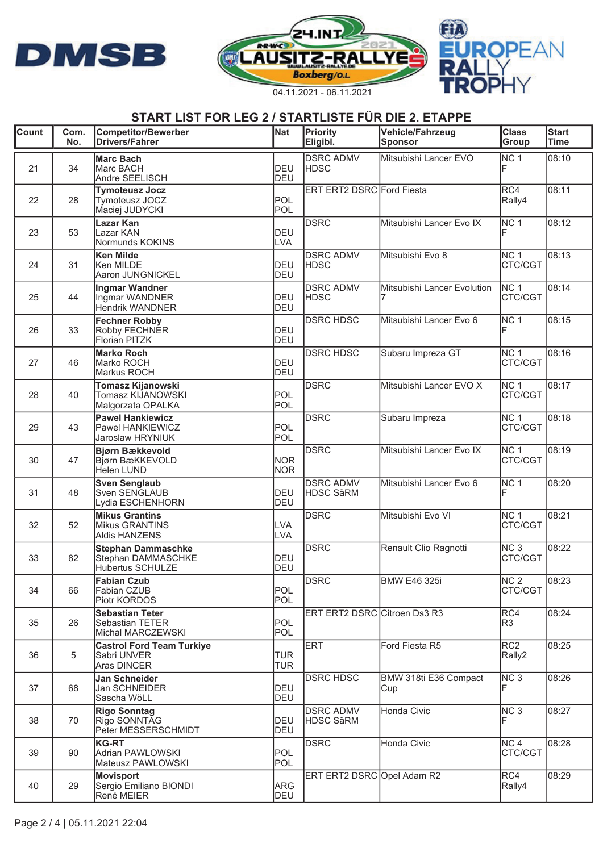





| <b>Count</b> | Com.<br>No. | <b>Competitor/Bewerber</b><br><b>Drivers/Fahrer</b>                 | Nat                      | Priority<br>Eligibl.                 | Vehicle/Fahrzeug<br><b>Sponsor</b> | $\overline{\text{Class}}$<br>Group | <b>Start</b><br><b>Time</b> |
|--------------|-------------|---------------------------------------------------------------------|--------------------------|--------------------------------------|------------------------------------|------------------------------------|-----------------------------|
| 21           | 34          | <b>Marc Bach</b><br>Marc BACH<br>Andre SEELISCH                     | <b>DEU</b><br>DEU        | <b>DSRC ADMV</b><br><b>HDSC</b>      | Mitsubishi Lancer EVO              | NC <sub>1</sub>                    | 08:10                       |
| 22           | 28          | <b>Tymoteusz Jocz</b><br>Tymoteusz JOCZ<br>Maciej JUDYCKI           | POL<br>POL               | ERT ERT2 DSRC Ford Fiesta            |                                    | RC4<br>Rally4                      | 08:11                       |
| 23           | 53          | Lazar Kan<br>Lazar KAN<br>Normunds KOKINS                           | <b>DEU</b><br><b>LVA</b> | <b>DSRC</b>                          | Mitsubishi Lancer Evo IX           | NC <sub>1</sub>                    | 08:12                       |
| 24           | 31          | <b>Ken Milde</b><br>Ken MILDE<br>Aaron JUNGNICKEL                   | DEU<br><b>DEU</b>        | <b>DSRC ADMV</b><br><b>HDSC</b>      | Mitsubishi Evo 8                   | NC <sub>1</sub><br>CTC/CGT         | 08:13                       |
| 25           | 44          | Ingmar Wandner<br>Ingmar WANDNER<br><b>Hendrik WANDNER</b>          | DEU<br><b>DEU</b>        | <b>DSRC ADMV</b><br><b>HDSC</b>      | Mitsubishi Lancer Evolution        | NC <sub>1</sub><br>CTC/CGT         | 08:14                       |
| 26           | 33          | <b>Fechner Robby</b><br>Robby FECHNER<br>Florian PITZK              | <b>DEU</b><br><b>DEU</b> | <b>DSRC HDSC</b>                     | Mitsubishi Lancer Evo 6            | NC <sub>1</sub>                    | 08:15                       |
| 27           | 46          | <b>Marko Roch</b><br>Marko ROCH<br>Markus ROCH                      | <b>DEU</b><br><b>DEU</b> | <b>DSRC HDSC</b>                     | Subaru Impreza GT                  | NC <sub>1</sub><br>CTC/CGT         | 08:16                       |
| 28           | 40          | <b>Tomasz Kijanowski</b><br>Tomasz KIJANOWSKI<br>Malgorzata OPALKA  | POL<br>POL               | <b>DSRC</b>                          | Mitsubishi Lancer EVO X            | NC <sub>1</sub><br>CTC/CGT         | 08:17                       |
| 29           | 43          | <b>Pawel Hankiewicz</b><br>Pawel HANKIEWICZ<br>Jaroslaw HRYNIUK     | POL<br>POL               | <b>DSRC</b>                          | Subaru Impreza                     | NC <sub>1</sub><br>CTC/CGT         | 08:18                       |
| 30           | 47          | Bjørn Bækkevold<br>Bjørn BæKKEVOLD<br>Helen LUND                    | <b>NOR</b><br><b>NOR</b> | <b>DSRC</b>                          | Mitsubishi Lancer Evo IX           | NC <sub>1</sub><br>CTC/CGT         | 08:19                       |
| 31           | 48          | <b>Sven Senglaub</b><br>Sven SENGLAUB<br>Lydia ESCHENHORN           | DEU<br><b>DEU</b>        | <b>DSRC ADMV</b><br><b>HDSC SäRM</b> | Mitsubishi Lancer Evo 6            | NC <sub>1</sub>                    | 08:20                       |
| 32           | 52          | <b>Mikus Grantins</b><br>Mikus GRANTINS<br><b>Aldis HANZENS</b>     | <b>LVA</b><br><b>LVA</b> | <b>DSRC</b>                          | Mitsubishi Evo VI                  | NC <sub>1</sub><br>CTC/CGT         | 08:21                       |
| 33           | 82          | <b>Stephan Dammaschke</b><br>Stephan DAMMASCHKE<br>Hubertus SCHULZE | DEU<br><b>DEU</b>        | <b>DSRC</b>                          | Renault Clio Ragnotti              | NC <sub>3</sub><br>CTC/CGT         | 08:22                       |
| 34           | 66          | <b>Fabian Czub</b><br>Fabian CZUB<br>Piotr KORDOS                   | POL<br>POL               | <b>DSRC</b>                          | <b>BMW E46 325i</b>                | NC <sub>2</sub><br>CTC/CGT         | 08:23                       |
| 35           | 26          | <b>Sebastian Teter</b><br>Sebastian TETER<br>Michal MARCZEWSKI      | POL<br><b>POL</b>        | ERT ERT2 DSRC Citroen Ds3 R3         |                                    | RC4<br>R <sub>3</sub>              | 08:24                       |
| 36           | 5           | <b>Castrol Ford Team Turkiye</b><br>Sabri UNVER<br>Aras DINCER      | <b>TUR</b><br><b>TUR</b> | <b>ERT</b>                           | Ford Fiesta R5                     | RC <sub>2</sub><br>Rally2          | 08:25                       |
| 37           | 68          | Jan Schneider<br>Jan SCHNEIDER<br>Sascha WöLL                       | <b>DEU</b><br>DEU        | <b>DSRC HDSC</b>                     | BMW 318ti E36 Compact<br>Cup       | NC <sub>3</sub>                    | 08:26                       |
| 38           | 70          | <b>Rigo Sonntag</b><br>Rigo SONNTAG<br>Peter MESSERSCHMIDT          | DEU<br>DEU               | <b>DSRC ADMV</b><br><b>HDSC SäRM</b> | Honda Civic                        | NC <sub>3</sub>                    | 08:27                       |
| 39           | 90          | <b>KG-RT</b><br>Adrian PAWLOWSKI<br>Mateusz PAWLOWSKI               | POL<br>POL               | <b>DSRC</b>                          | Honda Civic                        | NC <sub>4</sub><br>CTC/CGT         | 08:28                       |
| 40           | 29          | <b>Movisport</b><br>Sergio Emiliano BIONDI<br>René MEIER            | <b>ARG</b><br>DEU        | ERT ERT2 DSRC Opel Adam R2           |                                    | RC4<br>Rally4                      | 08:29                       |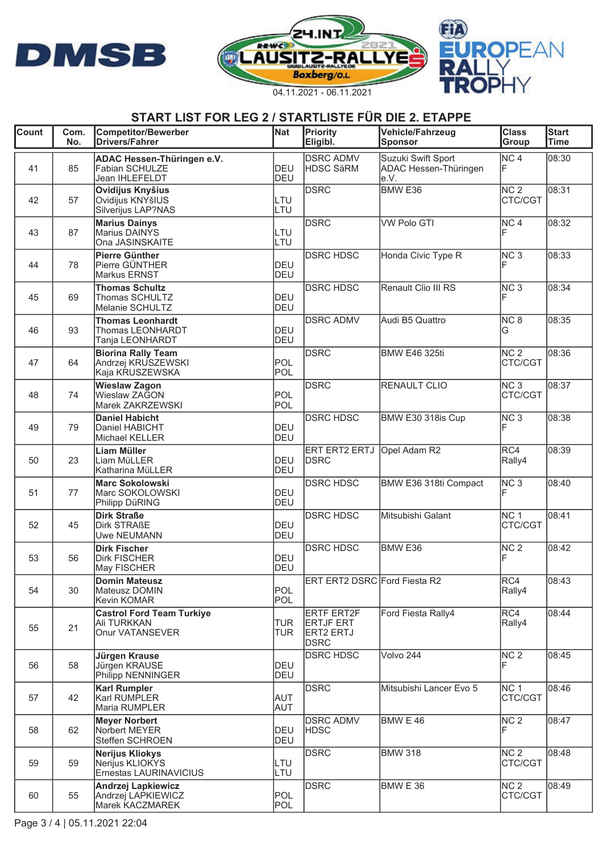





| Count | Com.<br>No. | <b>Competitor/Bewerber</b><br><b>Drivers/Fahrer</b>                 | <b>Nat</b>               | Priority<br>Eligibl.                                                     | <b>Vehicle/Fahrzeug</b><br>Sponsor                   | <b>Class</b><br>Group      | <b>Start</b><br>Time |
|-------|-------------|---------------------------------------------------------------------|--------------------------|--------------------------------------------------------------------------|------------------------------------------------------|----------------------------|----------------------|
| 41    | 85          | ADAC Hessen-Thüringen e.V.<br>Fabian SCHULZE<br>Jean IHLEFELDT      | <b>DEU</b><br>DEU        | <b>DSRC ADMV</b><br><b>HDSC SäRM</b>                                     | Suzuki Swift Sport<br>ADAC Hessen-Thüringen<br>le.V. | NC <sub>4</sub><br>lF.     | 08:30                |
| 42    | 57          | Ovidijus Knyšius<br>Ovidijus KNYšIUS<br>Silverijus LAP?NAS          | LTU<br>LTU               | <b>DSRC</b>                                                              | BMW <sub>E36</sub>                                   | NC <sub>2</sub><br>CTC/CGT | 08:31                |
| 43    | 87          | <b>Marius Dainys</b><br>Marius DAINYS<br>Ona JASINSKAITE            | LTU<br>LTU               | <b>DSRC</b>                                                              | <b>VW Polo GTI</b>                                   | NC <sub>4</sub>            | 08:32                |
| 44    | 78          | <b>Pierre Günther</b><br>Pierre GÜNTHER<br>Markus ERNST             | <b>DEU</b><br><b>DEU</b> | <b>DSRC HDSC</b>                                                         | Honda Civic Type R                                   | NC <sub>3</sub>            | 08:33                |
| 45    | 69          | <b>Thomas Schultz</b><br>Thomas SCHULTZ<br>Melanie SCHULTZ          | DEU<br><b>DEU</b>        | <b>DSRC HDSC</b>                                                         | Renault Clio III RS                                  | NC <sub>3</sub><br>F       | 08:34                |
| 46    | 93          | <b>Thomas Leonhardt</b><br>Thomas LEONHARDT<br>Tanja LEONHARDT      | DEU<br><b>DEU</b>        | <b>DSRC ADMV</b>                                                         | Audi B5 Quattro                                      | NC <sub>8</sub><br>G       | 08:35                |
| 47    | 64          | <b>Biorina Rally Team</b><br>Andrzej KRUSZEWSKI<br>Kaja KRUSZEWSKA  | POL<br>POL               | <b>DSRC</b>                                                              | <b>BMW E46 325ti</b>                                 | NC <sub>2</sub><br>CTC/CGT | 08:36                |
| 48    | 74          | <b>Wieslaw Zagon</b><br>Wieslaw ZAGON<br>Marek ZAKRZEWSKI           | POL<br>POL               | <b>DSRC</b>                                                              | RENAULT CLIO                                         | NC <sub>3</sub><br>CTC/CGT | 08:37                |
| 49    | 79          | <b>Daniel Habicht</b><br>Daniel HABICHT<br>Michael KELLER           | <b>DEU</b><br><b>DEU</b> | <b>DSRC HDSC</b>                                                         | BMW E30 318is Cup                                    | NC <sub>3</sub>            | 08:38                |
| 50    | 23          | Liam Müller<br>Liam MüLLER<br>Katharina MüLLER                      | <b>DEU</b><br><b>DEU</b> | ERT ERT2 ERTJ<br><b>DSRC</b>                                             | Opel Adam R2                                         | RC4<br>Rally4              | 08:39                |
| 51    | 77          | <b>Marc Sokolowski</b><br>Marc SOKOLOWSKI<br>Philipp DüRING         | <b>DEU</b><br><b>DEU</b> | <b>DSRC HDSC</b>                                                         | BMW E36 318ti Compact                                | NC <sub>3</sub>            | 08:40                |
| 52    | 45          | <b>Dirk Straße</b><br><b>Dirk STRAßE</b><br><b>Uwe NEUMANN</b>      | <b>DEU</b><br><b>DEU</b> | <b>DSRC HDSC</b>                                                         | Mitsubishi Galant                                    | NC <sub>1</sub><br>CTC/CGT | 08:41                |
| 53    | 56          | <b>Dirk Fischer</b><br><b>Dirk FISCHER</b><br>May FISCHER           | <b>DEU</b><br><b>DEU</b> | <b>DSRC HDSC</b>                                                         | BMW E36                                              | NC <sub>2</sub><br>F       | 08:42                |
| 54    | 30          | <b>Domin Mateusz</b><br>Mateusz DOMIN<br>Kevin KOMAR                | POL<br>POL               | ERT ERT2 DSRC Ford Fiesta R2                                             |                                                      | RC4<br>Rally4              | 08:43                |
| 55    | 21          | <b>Castrol Ford Team Turkiye</b><br>Ali TURKKAN<br>Onur VATANSEVER  | <b>TUR</b><br><b>TUR</b> | <b>ERTF ERT2F</b><br><b>ERTJF ERT</b><br><b>ERT2 ERTJ</b><br><b>DSRC</b> | Ford Fiesta Rally4                                   | RC4<br>Rally4              | 08:44                |
| 56    | 58          | Jürgen Krause<br>Jürgen KRAUSE<br>Philipp NENNINGER                 | DEU<br><b>DEU</b>        | <b>DSRC HDSC</b>                                                         | Volvo 244                                            | NC <sub>2</sub><br>IF      | 08:45                |
| 57    | 42          | <b>Karl Rumpler</b><br>Karl RUMPLER<br>Maria RUMPLER                | <b>AUT</b><br><b>AUT</b> | <b>DSRC</b>                                                              | Mitsubishi Lancer Evo 5                              | NC <sub>1</sub><br>CTC/CGT | 08:46                |
| 58    | 62          | <b>Meyer Norbert</b><br>Norbert MEYER<br>Steffen SCHROEN            | DEU<br><b>DEU</b>        | <b>DSRC ADMV</b><br><b>HDSC</b>                                          | <b>BMW E 46</b>                                      | NC <sub>2</sub>            | 08:47                |
| 59    | 59          | <b>Nerijus Kliokys</b><br>Nerijus KLIOKYS<br>Ernestas LAURINAVICIUS | LTU<br>LTU               | <b>DSRC</b>                                                              | <b>BMW 318</b>                                       | NC <sub>2</sub><br>CTC/CGT | 08:48                |
| 60    | 55          | <b>Andrzej Lapkiewicz</b><br>Andrzej LAPKIEWICZ<br>Marek KACZMAREK  | POL<br>POL               | <b>DSRC</b>                                                              | <b>BMW E 36</b>                                      | NC <sub>2</sub><br>CTC/CGT | 08:49                |